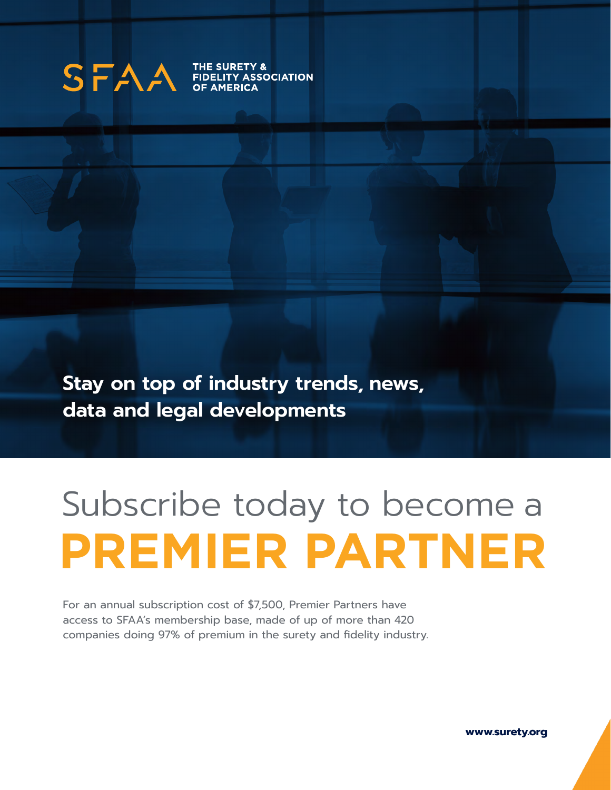

THE SURETY &<br>FIDELITY ASSC **Y ASSOCIATION** 

**Stay on top of industry trends, news, data and legal developments**

# Subscribe today to become a **PREMIER PARTNER**

For an annual subscription cost of \$7,500, Premier Partners have access to SFAA's membership base, made of up of more than 420 companies doing 97% of premium in the surety and fidelity industry.

**www.surety.org**